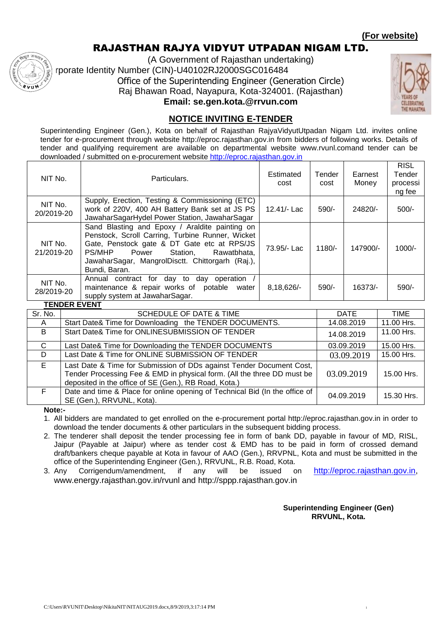### **(For website)**

### RAJASTHAN RAJYA VIDYUT UTPADAN NIGAM LTD.

(A Government of Rajasthan undertaking) rporate Identity Number (CIN)-U40102RJ2000SGC016484 Office of the Superintending Engineer (Generation Circle) Raj Bhawan Road, Nayapura, Kota-324001. (Rajasthan) **Email: se.gen.kota.@rrvun.com**



## **NOTICE INVITING E-TENDER**

Superintending Engineer (Gen.), Kota on behalf of Rajasthan RajyaVidyutUtpadan Nigam Ltd. invites online tender for e-procurement through website http://eproc.rajasthan.gov.in from bidders of following works. Details of tender and qualifying requirement are available on departmental website www.rvunl.comand tender can be downloaded / submitted on e-procurement website [http://eproc.rajasthan.gov.in](http://eproc.rajasthan.gov.in/)

| NIT No.               | Particulars.                                                                                                                                                                                                                                                         | Estimated<br>cost | Tender<br>cost | Earnest<br>Money | <b>RISL</b><br>Tender<br>processi<br>ng fee |
|-----------------------|----------------------------------------------------------------------------------------------------------------------------------------------------------------------------------------------------------------------------------------------------------------------|-------------------|----------------|------------------|---------------------------------------------|
| NIT No.<br>20/2019-20 | Supply, Erection, Testing & Commissioning (ETC)<br>work of 220V, 400 AH Battery Bank set at JS PS<br>JawaharSagarHydel Power Station, JawaharSagar                                                                                                                   | 12.41/- Lac       | 590/-          | 24820/-          | $500/-$                                     |
| NIT No.<br>21/2019-20 | Sand Blasting and Epoxy / Araldite painting on<br>Penstock, Scroll Carring, Turbine Runner, Wicket<br>Gate, Penstock gate & DT Gate etc at RPS/JS<br>PS/MHP<br>Power<br>Station.<br>Rawatbhata.<br>JawaharSagar, MangrolDisctt. Chittorgarh (Raj.),<br>Bundi, Baran. | 73.95/- Lac       | $1180/-$       | 147900/-         | $1000/-$                                    |
| NIT No.<br>28/2019-20 | Annual contract for day to day operation /<br>maintenance & repair works of potable<br>water<br>supply system at JawaharSagar.                                                                                                                                       | 8,18,626/-        | 590/-          | $16373/-$        | 590/-                                       |

**TENDER EVENT**

| Sr. No.      | <b>SCHEDULE OF DATE &amp; TIME</b>                                                                                                                                                                       | <b>DATE</b> | TIME       |
|--------------|----------------------------------------------------------------------------------------------------------------------------------------------------------------------------------------------------------|-------------|------------|
| $\mathsf{A}$ | Start Date& Time for Downloading the TENDER DOCUMENTS.                                                                                                                                                   | 14.08.2019  | 11.00 Hrs. |
| B            | Start Date& Time for ONLINESUBMISSION OF TENDER                                                                                                                                                          | 14.08.2019  | 11.00 Hrs. |
| C            | Last Date& Time for Downloading the TENDER DOCUMENTS                                                                                                                                                     | 03.09.2019  | 15.00 Hrs. |
| D.           | Last Date & Time for ONLINE SUBMISSION OF TENDER                                                                                                                                                         | 03.09.2019  | 15.00 Hrs. |
| E.           | Last Date & Time for Submission of DDs against Tender Document Cost,<br>Tender Processing Fee & EMD in physical form. (All the three DD must be<br>deposited in the office of SE (Gen.), RB Road, Kota.) | 03.09.2019  | 15.00 Hrs. |
| F.           | Date and time & Place for online opening of Technical Bid (In the office of<br>SE (Gen.), RRVUNL, Kota).                                                                                                 | 04.09.2019  | 15.30 Hrs. |

**Note:-**

1. All bidders are mandated to get enrolled on the e-procurement portal http://eproc.rajasthan.gov.in in order to download the tender documents & other particulars in the subsequent bidding process.

2. The tenderer shall deposit the tender processing fee in form of bank DD, payable in favour of MD, RISL, Jaipur (Payable at Jaipur) where as tender cost & EMD has to be paid in form of crossed demand draft/bankers cheque payable at Kota in favour of AAO (Gen.), RRVPNL, Kota and must be submitted in the office of the Superintending Engineer (Gen.), RRVUNL, R.B. Road, Kota.

3. Any Corrigendum/amendment, if any will be issued on [http://eproc.rajasthan.gov.in,](http://eproc.rajasthan.gov.in/) www.energy.rajasthan.gov.in/rvunl and http://sppp.rajasthan.gov.in

> **Superintending Engineer (Gen) RRVUNL, Kota.**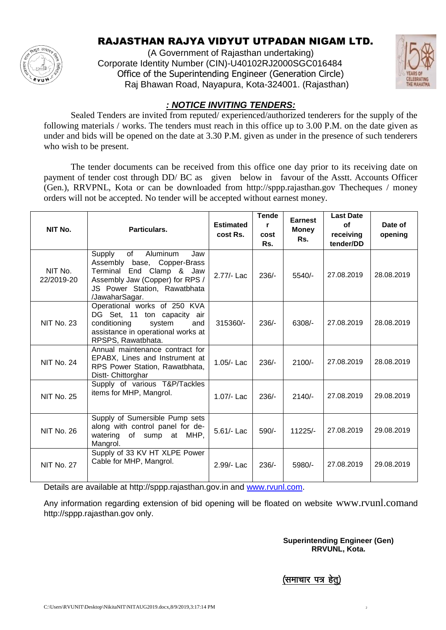

## RAJASTHAN RAJYA VIDYUT UTPADAN NIGAM LTD.

(A Government of Rajasthan undertaking) Corporate Identity Number (CIN)-U40102RJ2000SGC016484 Office of the Superintending Engineer (Generation Circle) Raj Bhawan Road, Nayapura, Kota-324001. (Rajasthan)



### *: NOTICE INVITING TENDERS:*

Sealed Tenders are invited from reputed/ experienced/authorized tenderers for the supply of the following materials / works. The tenders must reach in this office up to 3.00 P.M. on the date given as under and bids will be opened on the date at 3.30 P.M. given as under in the presence of such tenderers who wish to be present.

The tender documents can be received from this office one day prior to its receiving date on payment of tender cost through DD/ BC as given below in favour of the Asstt. Accounts Officer (Gen.), RRVPNL, Kota or can be downloaded from http://sppp.rajasthan.gov Thecheques / money orders will not be accepted. No tender will be accepted without earnest money.

| NIT No.               | Particulars.                                                                                                                                                                       | <b>Estimated</b><br>cost Rs. | <b>Tende</b><br>r<br>cost<br>Rs. | <b>Earnest</b><br><b>Money</b><br>Rs. | <b>Last Date</b><br><b>of</b><br>receiving<br>tender/DD | Date of<br>opening |
|-----------------------|------------------------------------------------------------------------------------------------------------------------------------------------------------------------------------|------------------------------|----------------------------------|---------------------------------------|---------------------------------------------------------|--------------------|
| NIT No.<br>22/2019-20 | of<br>Aluminum<br>Supply<br>Jaw<br>base, Copper-Brass<br>Assembly<br>Terminal End Clamp & Jaw<br>Assembly Jaw (Copper) for RPS /<br>JS Power Station, Rawatbhata<br>/JawaharSagar. | 2.77/- Lac                   | $236/-$                          | $5540/-$                              | 27.08.2019                                              | 28.08.2019         |
| <b>NIT No. 23</b>     | Operational works of 250 KVA<br>DG Set, 11 ton capacity air<br>conditioning<br>system<br>and<br>assistance in operational works at<br>RPSPS, Rawatbhata.                           | 315360/-                     | $236/-$                          | 6308/-                                | 27.08.2019                                              | 28.08.2019         |
| <b>NIT No. 24</b>     | Annual maintenance contract for<br>EPABX, Lines and Instrument at<br>RPS Power Station, Rawatbhata,<br>Distt- Chittorghar                                                          | 1.05/- Lac                   | $236/-$                          | $2100/-$                              | 27.08.2019                                              | 28.08.2019         |
| <b>NIT No. 25</b>     | Supply of various T&P/Tackles<br>items for MHP, Mangrol.                                                                                                                           | 1.07/- Lac                   | $236/-$                          | $2140/-$                              | 27.08.2019                                              | 29.08.2019         |
| <b>NIT No. 26</b>     | Supply of Sumersible Pump sets<br>along with control panel for de-<br>watering of sump at MHP,<br>Mangrol.                                                                         | 5.61/- Lac                   | $590/-$                          | $11225/-$                             | 27.08.2019                                              | 29.08.2019         |
| <b>NIT No. 27</b>     | Supply of 33 KV HT XLPE Power<br>Cable for MHP, Mangrol.                                                                                                                           | 2.99/- Lac                   | $236/-$                          | 5980/-                                | 27.08.2019                                              | 29.08.2019         |

Details are available at http://sppp.rajasthan.gov.in and [www.rvunl.com.](http://www.rvunl.com/)

Any information regarding extension of bid opening will be floated on website www.rvunl.comand http://sppp.rajasthan.gov only.

> **Superintending Engineer (Gen) RRVUNL, Kota.**

(समाचार पत्र हेत)